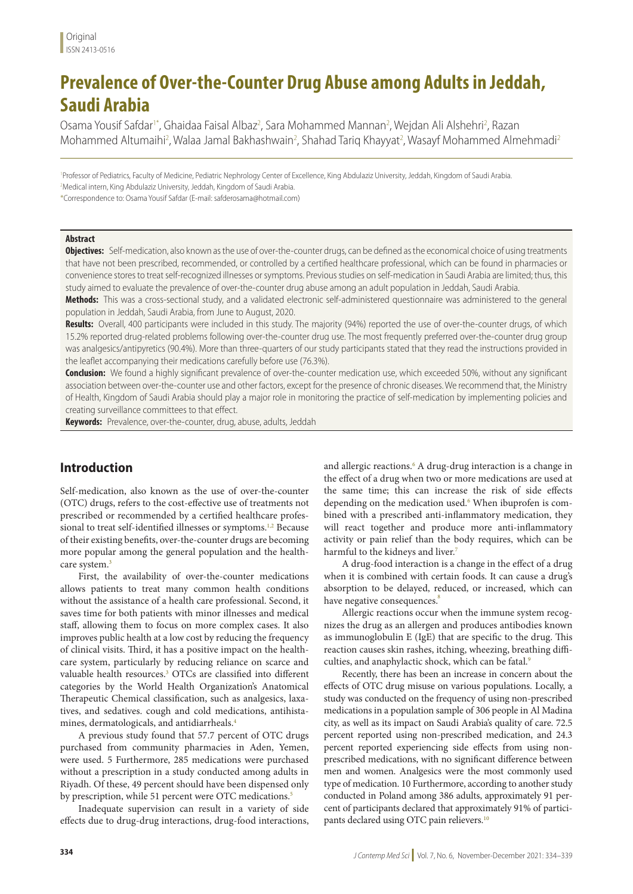# **Prevalence of Over-the-Counter Drug Abuse among Adults in Jeddah, Saudi Arabia**

Osama Yousif Safdar1\*, Ghaidaa Faisal Albaz<sup>2</sup>, Sara Mohammed Mannan<sup>2</sup>, Wejdan Ali Alshehri<sup>2</sup>, Razan Mohammed Altumaihi<sup>2</sup>, Walaa Jamal Bakhashwain<sup>2</sup>, Shahad Tariq Khayyat<sup>2</sup>, Wasayf Mohammed Almehmadi<sup>2</sup>

1 Professor of Pediatrics, Faculty of Medicine, Pediatric Nephrology Center of Excellence, King Abdulaziz University, Jeddah, Kingdom of Saudi Arabia. 2 Medical intern, King Abdulaziz University, Jeddah, Kingdom of Saudi Arabia.

\*Correspondence to: Osama Yousif Safdar (E-mail: safderosama@hotmail.com)

### **Abstract**

**Objectives:** Self-medication, also known as the use of over-the-counter drugs, can be defined as the economical choice of using treatments that have not been prescribed, recommended, or controlled by a certified healthcare professional, which can be found in pharmacies or convenience stores to treat self-recognized illnesses or symptoms. Previous studies on self-medication in Saudi Arabia are limited; thus, this study aimed to evaluate the prevalence of over-the-counter drug abuse among an adult population in Jeddah, Saudi Arabia.

**Methods:** This was a cross-sectional study, and a validated electronic self-administered questionnaire was administered to the general population in Jeddah, Saudi Arabia, from June to August, 2020.

**Results:** Overall, 400 participants were included in this study. The majority (94%) reported the use of over-the-counter drugs, of which 15.2% reported drug-related problems following over-the-counter drug use. The most frequently preferred over-the-counter drug group was analgesics/antipyretics (90.4%). More than three-quarters of our study participants stated that they read the instructions provided in the leaflet accompanying their medications carefully before use (76.3%).

**Conclusion:** We found a highly significant prevalence of over-the-counter medication use, which exceeded 50%, without any significant association between over-the-counter use and other factors, except for the presence of chronic diseases. We recommend that, the Ministry of Health, Kingdom of Saudi Arabia should play a major role in monitoring the practice of self-medication by implementing policies and creating surveillance committees to that effect.

**Keywords:** Prevalence, over-the-counter, drug, abuse, adults, Jeddah

# **Introduction**

Self-medication, also known as the use of over-the-counter (OTC) drugs, refers to the cost-effective use of treatments not prescribed or recommended by a certified healthcare professional to treat self-identified illnesses or symptoms.<sup>1,2</sup> Because of their existing benefits, over-the-counter drugs are becoming more popular among the general population and the healthcare system.<sup>3</sup>

First, the availability of over-the-counter medications allows patients to treat many common health conditions without the assistance of a health care professional. Second, it saves time for both patients with minor illnesses and medical staff, allowing them to focus on more complex cases. It also improves public health at a low cost by reducing the frequency of clinical visits. Third, it has a positive impact on the healthcare system, particularly by reducing reliance on scarce and valuable health resources.<sup>3</sup> OTCs are classified into different categories by the World Health Organization's Anatomical Therapeutic Chemical classification, such as analgesics, laxatives, and sedatives. cough and cold medications, antihistamines, dermatologicals, and antidiarrheals.4

A previous study found that 57.7 percent of OTC drugs purchased from community pharmacies in Aden, Yemen, were used. 5 Furthermore, 285 medications were purchased without a prescription in a study conducted among adults in Riyadh. Of these, 49 percent should have been dispensed only by prescription, while 51 percent were OTC medications.<sup>5</sup>

Inadequate supervision can result in a variety of side effects due to drug-drug interactions, drug-food interactions,

and allergic reactions.<sup>6</sup> A drug-drug interaction is a change in the effect of a drug when two or more medications are used at the same time; this can increase the risk of side effects depending on the medication used.<sup>6</sup> When ibuprofen is combined with a prescribed anti-inflammatory medication, they will react together and produce more anti-inflammatory activity or pain relief than the body requires, which can be harmful to the kidneys and liver.<sup>7</sup>

A drug-food interaction is a change in the effect of a drug when it is combined with certain foods. It can cause a drug's absorption to be delayed, reduced, or increased, which can have negative consequences.<sup>8</sup>

Allergic reactions occur when the immune system recognizes the drug as an allergen and produces antibodies known as immunoglobulin E (IgE) that are specific to the drug. This reaction causes skin rashes, itching, wheezing, breathing difficulties, and anaphylactic shock, which can be fatal.<sup>9</sup>

Recently, there has been an increase in concern about the effects of OTC drug misuse on various populations. Locally, a study was conducted on the frequency of using non-prescribed medications in a population sample of 306 people in Al Madina city, as well as its impact on Saudi Arabia's quality of care. 72.5 percent reported using non-prescribed medication, and 24.3 percent reported experiencing side effects from using nonprescribed medications, with no significant difference between men and women. Analgesics were the most commonly used type of medication. 10 Furthermore, according to another study conducted in Poland among 386 adults, approximately 91 percent of participants declared that approximately 91% of participants declared using OTC pain relievers.<sup>10</sup>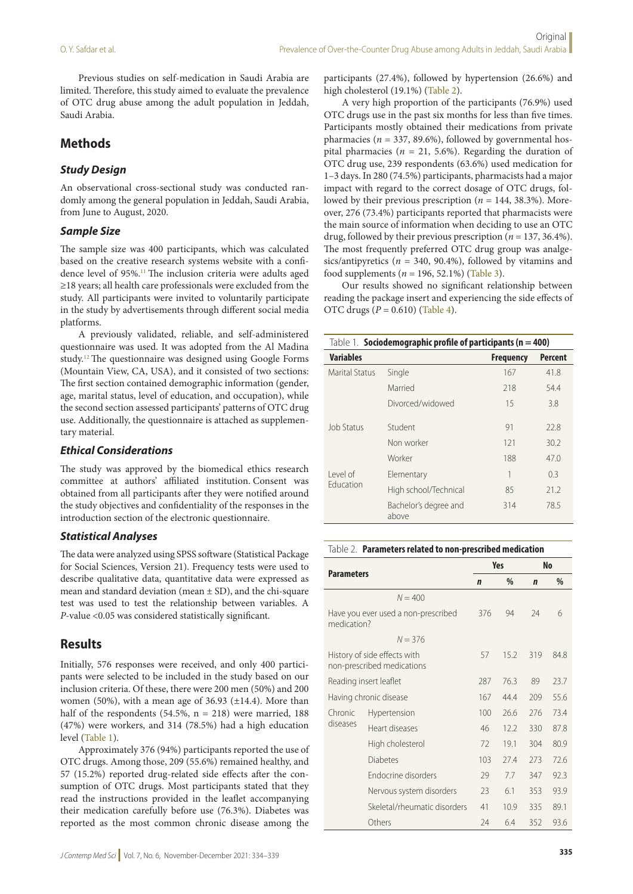Previous studies on self-medication in Saudi Arabia are limited. Therefore, this study aimed to evaluate the prevalence of OTC drug abuse among the adult population in Jeddah, Saudi Arabia.

# **Methods**

## *Study Design*

An observational cross-sectional study was conducted randomly among the general population in Jeddah, Saudi Arabia, from June to August, 2020.

### *Sample Size*

The sample size was 400 participants, which was calculated based on the creative research systems website with a confidence level of 95%.11 The inclusion criteria were adults aged ≥18 years; all health care professionals were excluded from the study. All participants were invited to voluntarily participate in the study by advertisements through different social media platforms.

A previously validated, reliable, and self-administered questionnaire was used. It was adopted from the Al Madina study.12 The questionnaire was designed using Google Forms (Mountain View, CA, USA), and it consisted of two sections: The first section contained demographic information (gender, age, marital status, level of education, and occupation), while the second section assessed participants' patterns of OTC drug use. Additionally, the questionnaire is attached as supplementary material.

### *Ethical Considerations*

The study was approved by the biomedical ethics research committee at authors' affiliated institution. Consent was obtained from all participants after they were notified around the study objectives and confidentiality of the responses in the introduction section of the electronic questionnaire.

### *Statistical Analyses*

The data were analyzed using SPSS software (Statistical Package for Social Sciences, Version 21). Frequency tests were used to describe qualitative data, quantitative data were expressed as mean and standard deviation (mean ± SD), and the chi-square test was used to test the relationship between variables. A *P*-value <0.05 was considered statistically significant.

# **Results**

Initially, 576 responses were received, and only 400 participants were selected to be included in the study based on our inclusion criteria. Of these, there were 200 men (50%) and 200 women (50%), with a mean age of 36.93 (±14.4). More than half of the respondents (54.5%,  $n = 218$ ) were married, 188 (47%) were workers, and 314 (78.5%) had a high education level (Table 1).

Approximately 376 (94%) participants reported the use of OTC drugs. Among those, 209 (55.6%) remained healthy, and 57 (15.2%) reported drug-related side effects after the consumption of OTC drugs. Most participants stated that they read the instructions provided in the leaflet accompanying their medication carefully before use (76.3%). Diabetes was reported as the most common chronic disease among the

participants (27.4%), followed by hypertension (26.6%) and high cholesterol (19.1%) (Table 2).

A very high proportion of the participants (76.9%) used OTC drugs use in the past six months for less than five times. Participants mostly obtained their medications from private pharmacies ( $n = 337, 89.6\%$ ), followed by governmental hospital pharmacies ( $n = 21, 5.6\%$ ). Regarding the duration of OTC drug use, 239 respondents (63.6%) used medication for 1–3 days. In 280 (74.5%) participants, pharmacists had a major impact with regard to the correct dosage of OTC drugs, followed by their previous prescription (*n* = 144, 38.3%). Moreover, 276 (73.4%) participants reported that pharmacists were the main source of information when deciding to use an OTC drug, followed by their previous prescription (*n* = 137, 36.4%). The most frequently preferred OTC drug group was analgesics/antipyretics ( $n = 340, 90.4\%$ ), followed by vitamins and food supplements (*n* = 196, 52.1%) (Table 3).

Our results showed no significant relationship between reading the package insert and experiencing the side effects of OTC drugs (*P* = 0.610) (Table 4).

| Table 1. Sociodemographic profile of participants ( $n = 400$ ) |                                |                  |                |  |  |  |
|-----------------------------------------------------------------|--------------------------------|------------------|----------------|--|--|--|
| <b>Variables</b>                                                |                                | <b>Frequency</b> | <b>Percent</b> |  |  |  |
| <b>Marital Status</b>                                           | Single                         | 167              | 41.8           |  |  |  |
|                                                                 | Married                        | 218              | 54.4           |  |  |  |
|                                                                 | Divorced/widowed               | 15               | 3.8            |  |  |  |
| Job Status                                                      | Student                        | 91               | 22.8           |  |  |  |
|                                                                 | Non worker                     | 121              | 30.2           |  |  |  |
|                                                                 | Worker                         | 188              | 47.0           |  |  |  |
| l evel of<br>Fducation                                          | Elementary                     | 1                | 0.3            |  |  |  |
|                                                                 | High school/Technical          | 85               | 21.2           |  |  |  |
|                                                                 | Bachelor's degree and<br>above | 314              | 78.5           |  |  |  |

#### Table 2. **Parameters related to non-prescribed medication**

| <b>Parameters</b>      |                                                            | Yes |             | <b>No</b> |      |
|------------------------|------------------------------------------------------------|-----|-------------|-----------|------|
|                        | $\mathbf n$                                                | %   | $\mathbf n$ | $\%$      |      |
|                        | $N = 400$                                                  |     |             |           |      |
| medication?            | Have you ever used a non-prescribed                        | 376 | 94          | 24        | 6    |
|                        | $N = 376$                                                  |     |             |           |      |
|                        | History of side effects with<br>non-prescribed medications | 57  | 15.2        | 319       | 84.8 |
| Reading insert leaflet |                                                            | 287 | 76.3        | 89        | 23.7 |
|                        | Having chronic disease                                     | 167 | 444         | 209       | 55.6 |
| Chronic<br>diseases    | Hypertension                                               | 100 | 26.6        | 276       | 73.4 |
|                        | Heart diseases                                             | 46  | 12.2        | 330       | 87.8 |
|                        | High cholesterol                                           | 72  | 191         | 304       | 80.9 |
|                        | Diabetes                                                   | 103 | 27.4        | 273       | 72.6 |
| Endocrine disorders    |                                                            | 29  | 7.7         | 347       | 92.3 |
|                        | Nervous system disorders                                   | 23  | 6.1         | 353       | 93.9 |
|                        | Skeletal/rheumatic disorders                               | 41  | 10.9        | 335       | 891  |
|                        | Others                                                     | 24  | 6.4         | 352       | 93.6 |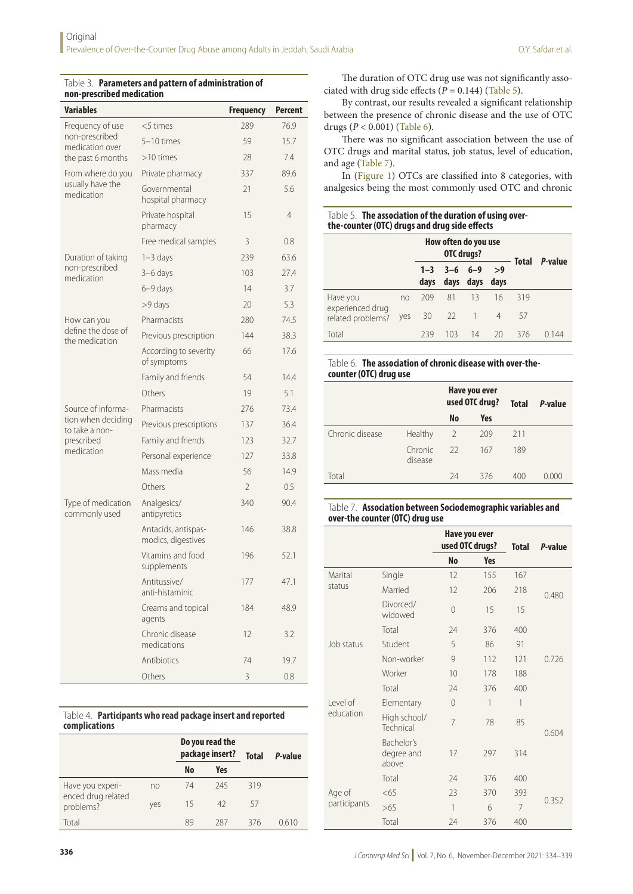| <b>Variables</b>                     |                                           | <b>Frequency</b> | <b>Percent</b> |
|--------------------------------------|-------------------------------------------|------------------|----------------|
| Frequency of use                     | $<$ 5 times                               | 289              | 76.9           |
| non-prescribed<br>medication over    | $5-10$ times                              | 59               | 15.7           |
| the past 6 months                    | $>10$ times                               | 28               | 7.4            |
| From where do you                    | Private pharmacy                          | 337              | 89.6           |
| usually have the<br>medication       | Governmental<br>hospital pharmacy         | 21               | 5.6            |
|                                      | Private hospital<br>pharmacy              | 15               | 4              |
|                                      | Free medical samples                      | 3                | 0.8            |
| Duration of taking                   | $1 - 3$ days                              | 239              | 63.6           |
| non-prescribed<br>medication         | 3-6 days                                  | 103              | 27.4           |
|                                      | $6-9$ days                                | 14               | 3.7            |
|                                      | >9 days                                   | 20               | 5.3            |
| How can you                          | Pharmacists                               | 280              | 74.5           |
| define the dose of<br>the medication | Previous prescription                     | 144              | 38.3           |
|                                      | According to severity<br>of symptoms      | 66               | 17.6           |
|                                      | Family and friends                        | 54               | 14.4           |
|                                      | Others                                    | 19               | 5.1            |
| Source of informa-                   | Pharmacists                               | 276              | 73.4           |
| tion when deciding<br>to take a non- | Previous prescriptions                    | 137              | 36.4           |
| prescribed                           | Family and friends                        | 123              | 32.7           |
| medication                           | Personal experience                       | 127              | 33.8           |
|                                      | Mass media                                | 56               | 14.9           |
|                                      | Others                                    | $\overline{2}$   | 0.5            |
| Type of medication<br>commonly used  | Analgesics/<br>antipyretics               | 340              | 90.4           |
|                                      | Antacids, antispas-<br>modics, digestives | 146              | 38.8           |
|                                      | Vitamins and food<br>supplements          | 196              | 52.1           |
|                                      | Antitussive/<br>anti-histaminic           | 177              | 47.1           |
|                                      | Creams and topical<br>agents              | 184              | 48.9           |
|                                      | Chronic disease<br>medications            | 12               | 3.2            |
|                                      | Antibiotics                               | 74               | 19.7           |
|                                      | Others                                    | 3                | 0.8            |

#### Table 3. **Parameters and pattern of administration of non-prescribed medication**

Table 4. **Participants who read package insert and reported complications**

|                                 |     | Do you read the<br>package insert? |     | <b>Total</b> | P-value |  |
|---------------------------------|-----|------------------------------------|-----|--------------|---------|--|
|                                 |     | <b>No</b>                          | Yes |              |         |  |
| Have you experi-                | no  | 74                                 | 245 | 319          |         |  |
| enced drug related<br>problems? | yes | 15                                 | 42  | 57           |         |  |
| Total                           |     | 89                                 | 287 | 376          | 0610    |  |

O.Y. Safdar et al.

ciated with drug side effects  $(P = 0.144)$  (Table 5). By contrast, our results revealed a significant relationship between the presence of chronic disease and the use of OTC drugs (*P* < 0.001) (Table 6).

There was no significant association between the use of OTC drugs and marital status, job status, level of education, and age (Table 7).

In (Figure 1) OTCs are classified into 8 categories, with analgesics being the most commonly used OTC and chronic

| Table 5. The association of the duration of using over- |
|---------------------------------------------------------|
| the-counter (OTC) drugs and drug side effects           |

|                                       |     | How often do you use<br><b>OTC drugs?</b> |                         |                |                | <b>Total</b> | P-value |
|---------------------------------------|-----|-------------------------------------------|-------------------------|----------------|----------------|--------------|---------|
|                                       |     | days                                      | $1 - 3$ $3 - 6$ $6 - 9$ | days days days | >9             |              |         |
| Have you                              | no  | 209                                       | - 81                    | -13            | 16             | 319          |         |
| experienced drug<br>related problems? | yes | 30                                        | 22                      |                | $\overline{4}$ | 57           |         |
| Total                                 |     | 239                                       | 103                     | 14             | 20             | 376          | O 144   |

### Table 6. **The association of chronic disease with over-thecounter (OTC) drug use**

|                 |                    |               | Have you ever<br>used OTC drug? | <b>Total</b> | P-value |
|-----------------|--------------------|---------------|---------------------------------|--------------|---------|
|                 |                    | No            | Yes                             |              |         |
| Chronic disease | Healthy            | $\mathcal{P}$ | 209                             | 211          |         |
|                 | Chronic<br>disease | 22            | 167                             | 189          |         |
| Total           |                    | 74            | 376                             | 400          | 0.000   |

### Table 7. **Association between Sociodemographic variables and over-the counter (OTC) drug use**

|                       |                                   | Have you ever<br>used OTC drugs? |            | <b>Total</b> | P-value |
|-----------------------|-----------------------------------|----------------------------------|------------|--------------|---------|
|                       |                                   | <b>No</b>                        | <b>Yes</b> |              |         |
| Marital               | Single                            | 12                               | 155        | 167          |         |
| status                | Married                           | 12                               | 206        | 218          | 0.480   |
|                       | Divorced/<br>widowed              | $\Omega$                         | 15         | 15           |         |
|                       | Total                             | 24                               | 376        | 400          |         |
| Job status            | Student                           | 5                                | 86         | 91           |         |
|                       | Non-worker                        | 9                                | 112        | 121          | 0.726   |
|                       | Worker                            | 10                               | 178        | 188          |         |
|                       | Total                             | 24                               | 376        | 400          |         |
| Level of<br>education | Elementary                        | $\Omega$                         | 1          | 1            |         |
|                       | High school/<br>Technical         | $\overline{7}$                   | 78         | 85           | 0.604   |
|                       | Bachelor's<br>degree and<br>above | 17                               | 297        | 314          |         |
|                       | Total                             | 24                               | 376        | 400          |         |
| Age of                | < 65                              | 23                               | 370        | 393          |         |
| participants          | >65                               | 1                                | 6          | 7            | 0.352   |
|                       | Total                             | 24                               | 376        | 400          |         |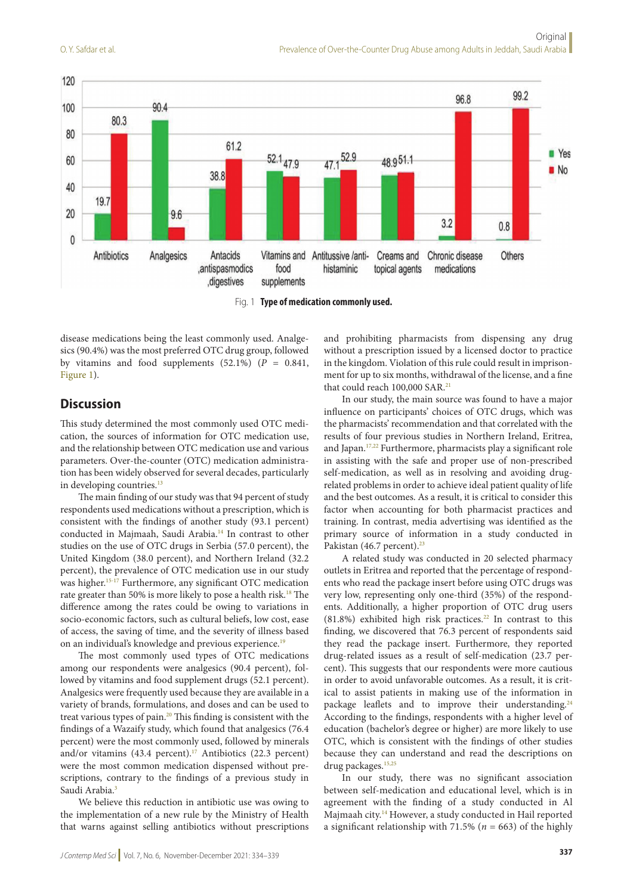

Fig. 1 **Type of medication commonly used.**

disease medications being the least commonly used. Analgesics (90.4%) was the most preferred OTC drug group, followed by vitamins and food supplements  $(52.1\%)$   $(P = 0.841,$ Figure 1).

# **Discussion**

This study determined the most commonly used OTC medication, the sources of information for OTC medication use, and the relationship between OTC medication use and various parameters. Over-the-counter (OTC) medication administration has been widely observed for several decades, particularly in developing countries.<sup>13</sup>

The main finding of our study was that 94 percent of study respondents used medications without a prescription, which is consistent with the findings of another study (93.1 percent) conducted in Majmaah, Saudi Arabia.14 In contrast to other studies on the use of OTC drugs in Serbia (57.0 percent), the United Kingdom (38.0 percent), and Northern Ireland (32.2 percent), the prevalence of OTC medication use in our study was higher.<sup>15-17</sup> Furthermore, any significant OTC medication rate greater than 50% is more likely to pose a health risk.<sup>18</sup> The difference among the rates could be owing to variations in socio-economic factors, such as cultural beliefs, low cost, ease of access, the saving of time, and the severity of illness based on an individual's knowledge and previous experience.<sup>19</sup>

The most commonly used types of OTC medications among our respondents were analgesics (90.4 percent), followed by vitamins and food supplement drugs (52.1 percent). Analgesics were frequently used because they are available in a variety of brands, formulations, and doses and can be used to treat various types of pain.20 This finding is consistent with the findings of a Wazaify study, which found that analgesics (76.4 percent) were the most commonly used, followed by minerals and/or vitamins (43.4 percent).<sup>17</sup> Antibiotics (22.3 percent) were the most common medication dispensed without prescriptions, contrary to the findings of a previous study in Saudi Arabia.<sup>3</sup>

We believe this reduction in antibiotic use was owing to the implementation of a new rule by the Ministry of Health that warns against selling antibiotics without prescriptions and prohibiting pharmacists from dispensing any drug without a prescription issued by a licensed doctor to practice in the kingdom. Violation of this rule could result in imprisonment for up to six months, withdrawal of the license, and a fine that could reach 100,000 SAR.<sup>21</sup>

In our study, the main source was found to have a major influence on participants' choices of OTC drugs, which was the pharmacists' recommendation and that correlated with the results of four previous studies in Northern Ireland, Eritrea, and Japan.<sup>17,22</sup> Furthermore, pharmacists play a significant role in assisting with the safe and proper use of non-prescribed self-medication, as well as in resolving and avoiding drugrelated problems in order to achieve ideal patient quality of life and the best outcomes. As a result, it is critical to consider this factor when accounting for both pharmacist practices and training. In contrast, media advertising was identified as the primary source of information in a study conducted in Pakistan (46.7 percent).<sup>23</sup>

A related study was conducted in 20 selected pharmacy outlets in Eritrea and reported that the percentage of respondents who read the package insert before using OTC drugs was very low, representing only one-third (35%) of the respondents. Additionally, a higher proportion of OTC drug users  $(81.8\%)$  exhibited high risk practices.<sup>22</sup> In contrast to this finding, we discovered that 76.3 percent of respondents said they read the package insert. Furthermore, they reported drug-related issues as a result of self-medication (23.7 percent). This suggests that our respondents were more cautious in order to avoid unfavorable outcomes. As a result, it is critical to assist patients in making use of the information in package leaflets and to improve their understanding.<sup>24</sup> According to the findings, respondents with a higher level of education (bachelor's degree or higher) are more likely to use OTC, which is consistent with the findings of other studies because they can understand and read the descriptions on drug packages.15,25

In our study, there was no significant association between self-medication and educational level, which is in agreement with the finding of a study conducted in Al Majmaah city.14 However, a study conducted in Hail reported a significant relationship with 71.5% (*n* = 663) of the highly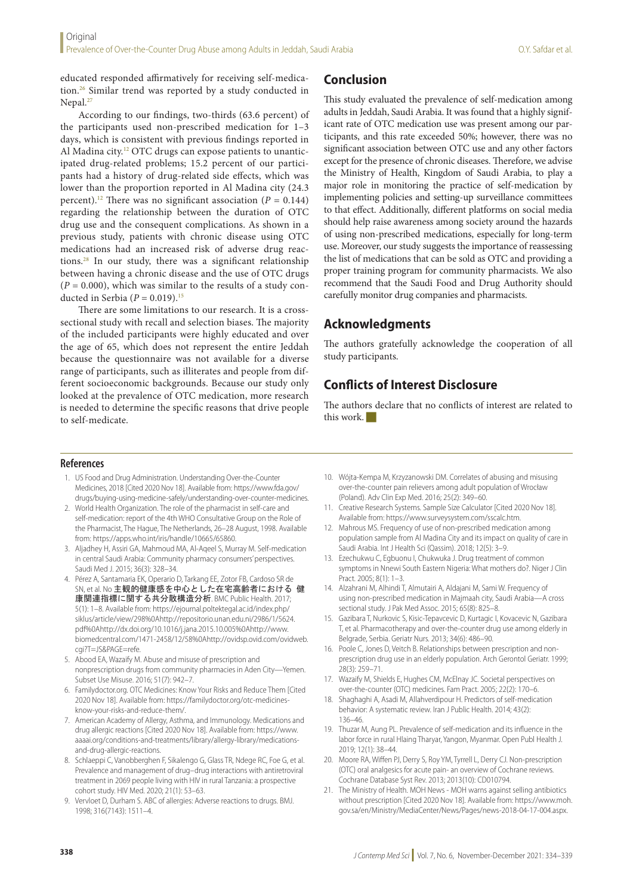educated responded affirmatively for receiving self-medication.26 Similar trend was reported by a study conducted in Nepal.<sup>27</sup>

According to our findings, two-thirds (63.6 percent) of the participants used non-prescribed medication for 1–3 days, which is consistent with previous findings reported in Al Madina city.<sup>12</sup> OTC drugs can expose patients to unanticipated drug-related problems; 15.2 percent of our participants had a history of drug-related side effects, which was lower than the proportion reported in Al Madina city (24.3 percent).<sup>12</sup> There was no significant association ( $P = 0.144$ ) regarding the relationship between the duration of OTC drug use and the consequent complications. As shown in a previous study, patients with chronic disease using OTC medications had an increased risk of adverse drug reactions.28 In our study, there was a significant relationship between having a chronic disease and the use of OTC drugs  $(P = 0.000)$ , which was similar to the results of a study conducted in Serbia  $(P = 0.019).$ <sup>15</sup>

There are some limitations to our research. It is a crosssectional study with recall and selection biases. The majority of the included participants were highly educated and over the age of 65, which does not represent the entire Jeddah because the questionnaire was not available for a diverse range of participants, such as illiterates and people from different socioeconomic backgrounds. Because our study only looked at the prevalence of OTC medication, more research is needed to determine the specific reasons that drive people to self-medicate.

# **Conclusion**

This study evaluated the prevalence of self-medication among adults in Jeddah, Saudi Arabia. It was found that a highly significant rate of OTC medication use was present among our participants, and this rate exceeded 50%; however, there was no significant association between OTC use and any other factors except for the presence of chronic diseases. Therefore, we advise the Ministry of Health, Kingdom of Saudi Arabia, to play a major role in monitoring the practice of self-medication by implementing policies and setting-up surveillance committees to that effect. Additionally, different platforms on social media should help raise awareness among society around the hazards of using non-prescribed medications, especially for long-term use. Moreover, our study suggests the importance of reassessing the list of medications that can be sold as OTC and providing a proper training program for community pharmacists. We also recommend that the Saudi Food and Drug Authority should carefully monitor drug companies and pharmacists.

# **Acknowledgments**

The authors gratefully acknowledge the cooperation of all study participants.

# **Conflicts of Interest Disclosure**

The authors declare that no conflicts of interest are related to this work.

### **References**

- 1. US Food and Drug Administration. Understanding Over-the-Counter Medicines, 2018 [Cited 2020 Nov 18]. Available from: https://www.fda.gov/ drugs/buying-using-medicine-safely/understanding-over-counter-medicines.
- 2. World Health Organization. The role of the pharmacist in self-care and self-medication: report of the 4th WHO Consultative Group on the Role of the Pharmacist, The Hague, The Netherlands, 26–28 August, 1998. Available from: https://apps.who.int/iris/handle/10665/65860.
- 3. Aljadhey H, Assiri GA, Mahmoud MA, Al-Aqeel S, Murray M. Self-medication in central Saudi Arabia: Community pharmacy consumers' perspectives. Saudi Med J. 2015; 36(3): 328–34.
- 4. Pérez A, Santamaria EK, Operario D, Tarkang EE, Zotor FB, Cardoso SR de SN, et al. No 主観的健康感を中心とした在宅高齢者における 健 康関連指標に関する共分散構造分析. BMC Public Health. 2017; 5(1): 1–8. Available from: https://ejournal.poltektegal.ac.id/index.php/ siklus/article/view/298%0Ahttp://repositorio.unan.edu.ni/2986/1/5624. pdf%0Ahttp://dx.doi.org/10.1016/j.jana.2015.10.005%0Ahttp://www. biomedcentral.com/1471-2458/12/58%0Ahttp://ovidsp.ovid.com/ovidweb. cgi?T=JS&PAGE=refe.
- 5. Abood EA, Wazaify M. Abuse and misuse of prescription and nonprescription drugs from community pharmacies in Aden City—Yemen. Subset Use Misuse. 2016; 51(7): 942–7.
- 6. Familydoctor.org. OTC Medicines: Know Your Risks and Reduce Them [Cited 2020 Nov 18]. Available from: https://familydoctor.org/otc-medicinesknow-your-risks-and-reduce-them/.
- 7. American Academy of Allergy, Asthma, and Immunology. Medications and drug allergic reactions [Cited 2020 Nov 18]. Available from: https://www. aaaai.org/conditions-and-treatments/library/allergy-library/medicationsand-drug-allergic-reactions.
- 8. Schlaeppi C, Vanobberghen F, Sikalengo G, Glass TR, Ndege RC, Foe G, et al. Prevalence and management of drug–drug interactions with antiretroviral treatment in 2069 people living with HIV in rural Tanzania: a prospective cohort study. HIV Med. 2020; 21(1): 53–63.
- 9. Vervloet D, Durham S. ABC of allergies: Adverse reactions to drugs. BMJ. 1998; 316(7143): 1511–4.
- 10. Wójta-Kempa M, Krzyzanowski DM. Correlates of abusing and misusing over-the-counter pain relievers among adult population of Wrocław (Poland). Adv Clin Exp Med. 2016; 25(2): 349–60.
- 11. Creative Research Systems. Sample Size Calculator [Cited 2020 Nov 18]. Available from: https://www.surveysystem.com/sscalc.htm.
- 12. Mahrous MS. Frequency of use of non-prescribed medication among population sample from Al Madina City and its impact on quality of care in Saudi Arabia. Int J Health Sci (Qassim). 2018; 12(5): 3–9.
- 13. Ezechukwu C, Egbuonu I, Chukwuka J. Drug treatment of common symptoms in Nnewi South Eastern Nigeria: What mothers do?. Niger J Clin Pract. 2005; 8(1): 1–3.
- 14. Alzahrani M, Alhindi T, Almutairi A, Aldajani M, Sami W. Frequency of using non-prescribed medication in Majmaah city, Saudi Arabia—A cross sectional study. J Pak Med Assoc. 2015; 65(8): 825–8.
- 15. Gazibara T, Nurkovic S, Kisic-Tepavcevic D, Kurtagic I, Kovacevic N, Gazibara T, et al. Pharmacotherapy and over-the-counter drug use among elderly in Belgrade, Serbia. Geriatr Nurs. 2013; 34(6): 486–90.
- 16. Poole C, Jones D, Veitch B. Relationships between prescription and nonprescription drug use in an elderly population. Arch Gerontol Geriatr. 1999; 28(3): 259–71.
- 17. Wazaify M, Shields E, Hughes CM, McElnay JC. Societal perspectives on over-the-counter (OTC) medicines. Fam Pract. 2005; 22(2): 170–6.
- 18. Shaghaghi A, Asadi M, Allahverdipour H. Predictors of self-medication behavior: A systematic review. Iran J Public Health. 2014; 43(2): 136–46.
- 19. Thuzar M, Aung PL. Prevalence of self-medication and its influence in the labor force in rural Hlaing Tharyar, Yangon, Myanmar. Open Publ Health J. 2019; 12(1): 38–44.
- 20. Moore RA, Wiffen PJ, Derry S, Roy YM, Tyrrell L, Derry CJ. Non-prescription (OTC) oral analgesics for acute pain- an overview of Cochrane reviews. Cochrane Database Syst Rev. 2013; 2013(10): CD010794.
- 21. The Ministry of Health. MOH News MOH warns against selling antibiotics without prescription [Cited 2020 Nov 18]. Available from: https://www.moh. gov.sa/en/Ministry/MediaCenter/News/Pages/news-2018-04-17-004.aspx.